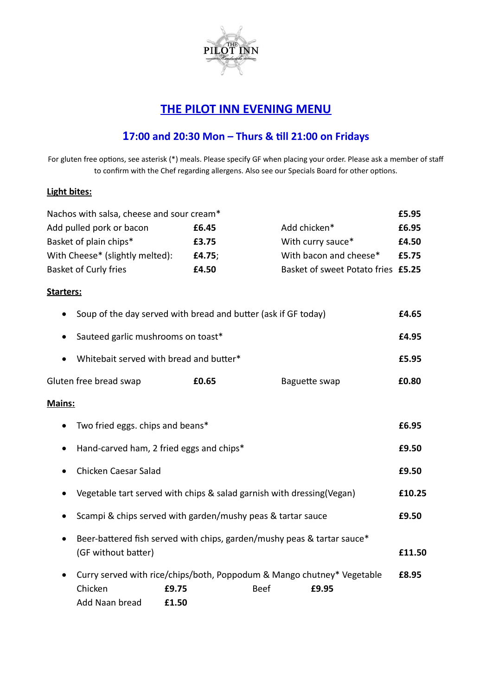

## **THE PILOT INN EVENING MENU**

## **17:00 and 20:30 Mon – Thurs & till 21:00 on Fridays**

For gluten free options, see asterisk (\*) meals. Please specify GF when placing your order. Please ask a member of staff to confirm with the Chef regarding allergens. Also see our Specials Board for other options.

## **Light bites:**

| Nachos with salsa, cheese and sour cream*                                                                   |        |                                    | £5.95  |
|-------------------------------------------------------------------------------------------------------------|--------|------------------------------------|--------|
| Add pulled pork or bacon                                                                                    | £6.45  | Add chicken*                       | £6.95  |
| Basket of plain chips*                                                                                      | £3.75  | With curry sauce*                  | £4.50  |
| With Cheese* (slightly melted):                                                                             | £4.75; | With bacon and cheese*             | £5.75  |
| <b>Basket of Curly fries</b>                                                                                | £4.50  | Basket of sweet Potato fries £5.25 |        |
| Starters:                                                                                                   |        |                                    |        |
| Soup of the day served with bread and butter (ask if GF today)<br>٠                                         |        |                                    |        |
| Sauteed garlic mushrooms on toast*<br>$\bullet$                                                             |        |                                    | £4.95  |
| Whitebait served with bread and butter*                                                                     |        |                                    | £5.95  |
| Gluten free bread swap                                                                                      | £0.65  | Baguette swap                      | £0.80  |
| Mains:                                                                                                      |        |                                    |        |
| Two fried eggs. chips and beans*<br>٠                                                                       |        |                                    | £6.95  |
| Hand-carved ham, 2 fried eggs and chips*<br>٠                                                               |        |                                    | £9.50  |
| Chicken Caesar Salad<br>$\bullet$                                                                           |        |                                    | £9.50  |
| Vegetable tart served with chips & salad garnish with dressing(Vegan)<br>٠                                  |        |                                    | £10.25 |
| Scampi & chips served with garden/mushy peas & tartar sauce                                                 |        |                                    | £9.50  |
| Beer-battered fish served with chips, garden/mushy peas & tartar sauce*<br>$\bullet$<br>(GF without batter) |        |                                    | £11.50 |
| Curry served with rice/chips/both, Poppodum & Mango chutney* Vegetable<br>Chicken<br>£9.75                  | Beef   | £9.95                              | £8.95  |

Add Naan bread **£1.50**